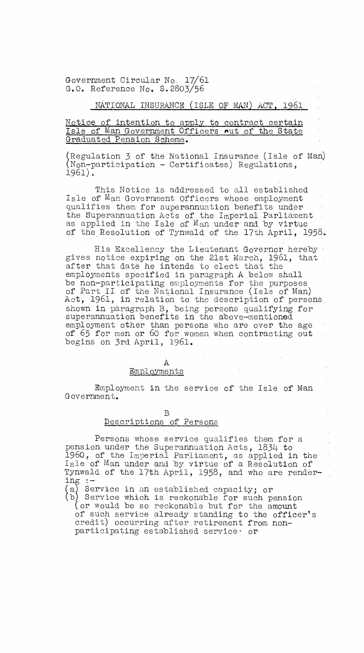Government Circular No. 17/61 G.O. Reference No. S.2803/56

# NATIONAL INSURANCE (ISLE OF MAN) ACT, 1961

### Notice of intention to apply to contract certain Isle of Man Government Officers nut of the State Graduated Pension Scheme.

(Regulation 3 of the National Insurance (Isle of Man) (Non-participation - Certificates) Regulations, 1961).

This Notice is addressed to all established Isle of Man Government Officers whose employment qualifies them for superannuation benefits under the Superannuation Acts of the Imperial Parliament as applied in the Isle of Man under and by virtue of the Resolution of Tynwald of the 17th April, 1958.

His Excellency the Lieutenant Governor hereby gives notice expiring on the 21st March, 1961, that after that date he intends to elect that the employments specified in paragraph A below shall be non-participating employments for the purposes of Part II of the National Insurance (Isle of Man) Act, 1961, in relation to the description of persons, shown in paragraph B, being persons qualifying for superannuation benefits in the above-mentioned employment other than persons who are over the age of 65 for men or 60 for women when contracting out  $\bar{\rm u}$ begins on 3rd April, 1961.

#### A

## Employments

Employment in the service of the Isle of Man Government.

ting a

 $\hat{\mathbf{r}}$ 

B

# Descriptions of Persons

Persons whose service qualifies them for a pension under the Superannuation Acts, 1834 to 1960, of the Imperial Parliament, as applied in the Isle of Man under and by virtue of a Resolution of Tynwald of the 17th April, 1958, and who are rendering

Service in an established capacity; or

b) Service which is reckonable for such pension

(or would be so reckonable but for the amount of such service already standing to the officer's credit) occurring after retirement from nonparticipating established service° or